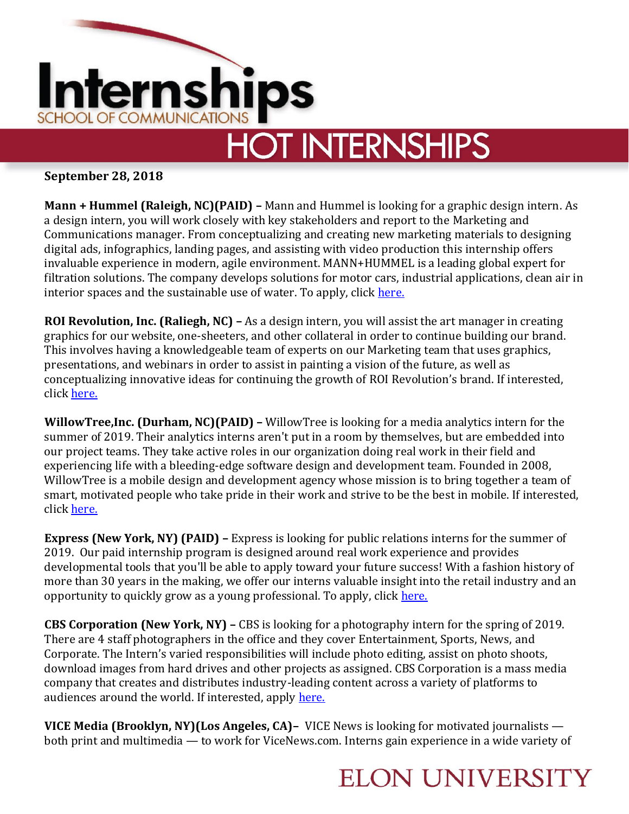

# **HOT INTERNSHIPS**

#### **September 28, 2018**

**Mann + Hummel (Raleigh, NC)(PAID) –** Mann and Hummel is looking for a graphic design intern. As a design intern, you will work closely with key stakeholders and report to the Marketing and Communications manager. From conceptualizing and creating new marketing materials to designing digital ads, infographics, landing pages, and assisting with video production this internship offers invaluable experience in modern, agile environment. MANN+HUMMEL is a leading global expert for filtration solutions. The company develops solutions for motor cars, industrial applications, clean air in interior spaces and the sustainable use of water. To apply, click [here.](https://www.linkedin.com/jobs/view/887232864/)

**ROI Revolution, Inc. (Raliegh, NC) –** As a design intern, you will assist the art manager in creating graphics for our website, one-sheeters, and other collateral in order to continue building our brand. This involves having a knowledgeable team of experts on our Marketing team that uses graphics, presentations, and webinars in order to assist in painting a vision of the future, as well as conceptualizing innovative ideas for continuing the growth of ROI Revolution's brand. If interested, click [here.](https://www.linkedin.com/jobs/view/884090538/)

**WillowTree,Inc. (Durham, NC)(PAID) –** WillowTree is looking for a media analytics intern for the summer of 2019. Their analytics interns aren't put in a room by themselves, but are embedded into our project teams. They take active roles in our organization doing real work in their field and experiencing life with a bleeding-edge software design and development team. Founded in 2008, WillowTree is a mobile design and development agency whose mission is to bring together a team of smart, motivated people who take pride in their work and strive to be the best in mobile. If interested, click [here.](https://neuvoo.com/view/?id=tuv0v4xf04&source=joveo_bulk&utm_source=partner&utm_medium=joveo_bulk&puid=g9dc89db19bacdag79aaedac39e8dadagddgaddcaed3addf8ddg9ed3dbdbbbddfcdc3e&oapply=org_v9&tracking-details=YmlkPTAuMTAmYmlkdHlwZT1jcGMmc3JjPUxpbmtlZE)

**Express (New York, NY) (PAID) –** Express is looking for public relations interns for the summer of 2019. Our paid internship program is designed around real work experience and provides developmental tools that you'll be able to apply toward your future success! With a fashion history of more than 30 years in the making, we offer our interns valuable insight into the retail industry and an opportunity to quickly grow as a young professional. To apply, click [here.](https://www.linkedin.com/jobs/view/866781405/)

**CBS Corporation (New York, NY) –** CBS is looking for a photography intern for the spring of 2019. There are 4 staff photographers in the office and they cover Entertainment, Sports, News, and Corporate. The Intern's varied responsibilities will include photo editing, assist on photo shoots, download images from hard drives and other projects as assigned. CBS Corporation is a mass media company that creates and distributes industry-leading content across a variety of platforms to audiences around the world. If interested, apply [here.](https://www.linkedin.com/jobs/view/868072860/)

**VICE Media (Brooklyn, NY)(Los Angeles, CA)–** VICE News is looking for motivated journalists both print and multimedia — to work for ViceNews.com. Interns gain experience in a wide variety of

#### **ELON UNIVERSITY**